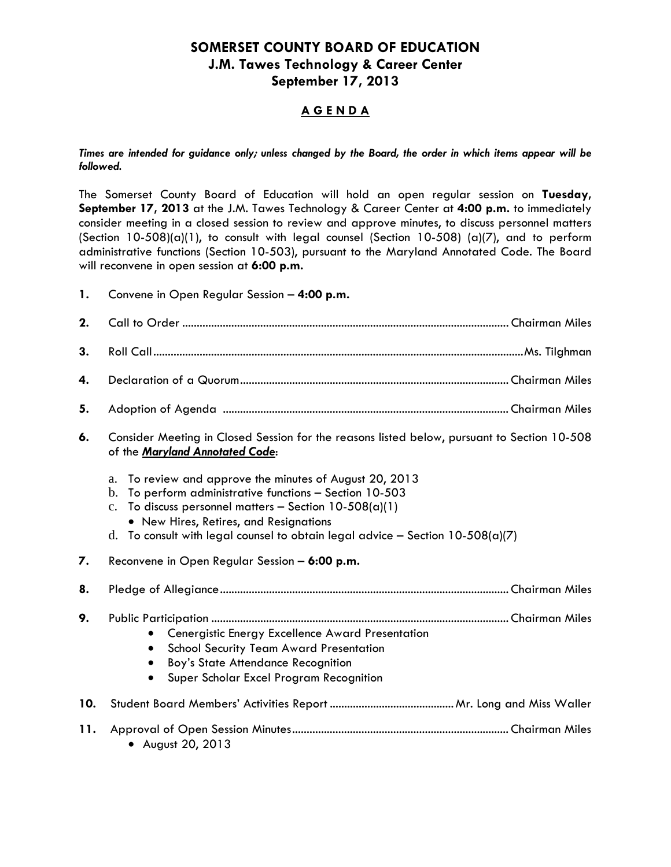# **SOMERSET COUNTY BOARD OF EDUCATION J.M. Tawes Technology & Career Center September 17, 2013**

## **A G E N D A**

*Times are intended for guidance only; unless changed by the Board, the order in which items appear will be followed.* 

The Somerset County Board of Education will hold an open regular session on **Tuesday, September 17, 2013** at the J.M. Tawes Technology & Career Center at **4:00 p.m.** to immediately consider meeting in a closed session to review and approve minutes, to discuss personnel matters (Section 10-508)(a)(1), to consult with legal counsel (Section 10-508) (a)(7), and to perform administrative functions (Section 10-503), pursuant to the Maryland Annotated Code. The Board will reconvene in open session at **6:00 p.m.**

**1.** Convene in Open Regular Session – **4:00 p.m.**

| 2.  |                                                                                                                                                                                                                                                                                                                                      |
|-----|--------------------------------------------------------------------------------------------------------------------------------------------------------------------------------------------------------------------------------------------------------------------------------------------------------------------------------------|
| 3.  |                                                                                                                                                                                                                                                                                                                                      |
| 4.  |                                                                                                                                                                                                                                                                                                                                      |
| 5.  |                                                                                                                                                                                                                                                                                                                                      |
| 6.  | Consider Meeting in Closed Session for the reasons listed below, pursuant to Section 10-508<br>of the Maryland Annotated Code:                                                                                                                                                                                                       |
|     | To review and approve the minutes of August 20, 2013<br>a.<br>To perform administrative functions - Section 10-503<br>b.<br>To discuss personnel matters - Section $10-508(a)(1)$<br>$\mathbf{c}$ .<br>• New Hires, Retires, and Resignations<br>To consult with legal counsel to obtain legal advice - Section $10-508(a)(7)$<br>d. |
| 7.  | Reconvene in Open Regular Session - 6:00 p.m.                                                                                                                                                                                                                                                                                        |
| 8.  |                                                                                                                                                                                                                                                                                                                                      |
| 9.  | Cenergistic Energy Excellence Award Presentation<br><b>School Security Team Award Presentation</b><br>Boy's State Attendance Recognition<br>Super Scholar Excel Program Recognition                                                                                                                                                  |
| 10. |                                                                                                                                                                                                                                                                                                                                      |
| 11. | • August 20, 2013                                                                                                                                                                                                                                                                                                                    |